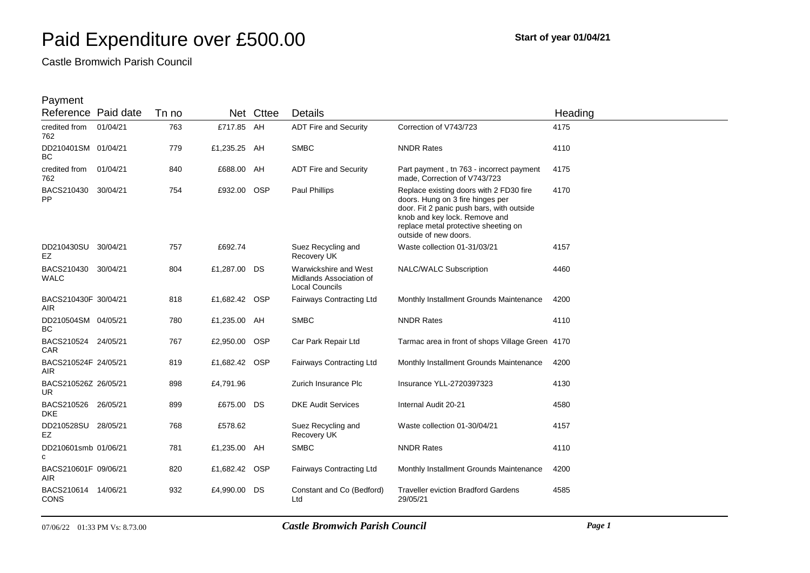Castle Bromwich Parish Council

| Reference Paid date                |          | Tn no |               | Net Cttee  | Details                                                                   |                                                                                                                                                                                                                            | Heading |
|------------------------------------|----------|-------|---------------|------------|---------------------------------------------------------------------------|----------------------------------------------------------------------------------------------------------------------------------------------------------------------------------------------------------------------------|---------|
| credited from<br>762               | 01/04/21 | 763   | £717.85 AH    |            | <b>ADT Fire and Security</b>                                              | Correction of V743/723                                                                                                                                                                                                     | 4175    |
| DD210401SM 01/04/21<br>ВC          |          | 779   | £1,235.25 AH  |            | <b>SMBC</b>                                                               | <b>NNDR Rates</b>                                                                                                                                                                                                          | 4110    |
| credited from 01/04/21<br>762      |          | 840   | £688.00 AH    |            | <b>ADT Fire and Security</b>                                              | Part payment, tn 763 - incorrect payment<br>made, Correction of V743/723                                                                                                                                                   | 4175    |
| BACS210430 30/04/21<br>PP          |          | 754   | £932.00 OSP   |            | Paul Phillips                                                             | Replace existing doors with 2 FD30 fire<br>doors. Hung on 3 fire hinges per<br>door. Fit 2 panic push bars, with outside<br>knob and key lock. Remove and<br>replace metal protective sheeting on<br>outside of new doors. | 4170    |
| DD210430SU 30/04/21<br>EZ          |          | 757   | £692.74       |            | Suez Recycling and<br>Recovery UK                                         | Waste collection 01-31/03/21                                                                                                                                                                                               | 4157    |
| BACS210430 30/04/21<br><b>WALC</b> |          | 804   | £1,287.00 DS  |            | Warwickshire and West<br>Midlands Association of<br><b>Local Councils</b> | NALC/WALC Subscription                                                                                                                                                                                                     | 4460    |
| BACS210430F 30/04/21<br>AIR        |          | 818   | £1,682.42 OSP |            | Fairways Contracting Ltd                                                  | Monthly Installment Grounds Maintenance                                                                                                                                                                                    | 4200    |
| DD210504SM 04/05/21<br><b>BC</b>   |          | 780   | £1,235.00 AH  |            | <b>SMBC</b>                                                               | <b>NNDR Rates</b>                                                                                                                                                                                                          | 4110    |
| BACS210524 24/05/21<br><b>CAR</b>  |          | 767   | £2,950.00     | <b>OSP</b> | Car Park Repair Ltd                                                       | Tarmac area in front of shops Village Green 4170                                                                                                                                                                           |         |
| BACS210524F 24/05/21<br><b>AIR</b> |          | 819   | £1,682.42 OSP |            | <b>Fairways Contracting Ltd</b>                                           | Monthly Installment Grounds Maintenance                                                                                                                                                                                    | 4200    |
| BACS210526Z 26/05/21<br><b>UR</b>  |          | 898   | £4,791.96     |            | Zurich Insurance Plc                                                      | Insurance YLL-2720397323                                                                                                                                                                                                   | 4130    |
| BACS210526 26/05/21<br><b>DKE</b>  |          | 899   | £675.00 DS    |            | <b>DKE Audit Services</b>                                                 | Internal Audit 20-21                                                                                                                                                                                                       | 4580    |
| DD210528SU 28/05/21<br>EZ          |          | 768   | £578.62       |            | Suez Recycling and<br>Recovery UK                                         | Waste collection 01-30/04/21                                                                                                                                                                                               | 4157    |
| DD210601smb 01/06/21<br>C          |          | 781   | £1,235.00 AH  |            | <b>SMBC</b>                                                               | <b>NNDR Rates</b>                                                                                                                                                                                                          | 4110    |
| BACS210601F 09/06/21<br>AIR.       |          | 820   | £1,682.42     | <b>OSP</b> | Fairways Contracting Ltd                                                  | Monthly Installment Grounds Maintenance                                                                                                                                                                                    | 4200    |
| BACS210614 14/06/21<br><b>CONS</b> |          | 932   | £4,990.00     | DS         | Constant and Co (Bedford)<br>Ltd                                          | <b>Traveller eviction Bradford Gardens</b><br>29/05/21                                                                                                                                                                     | 4585    |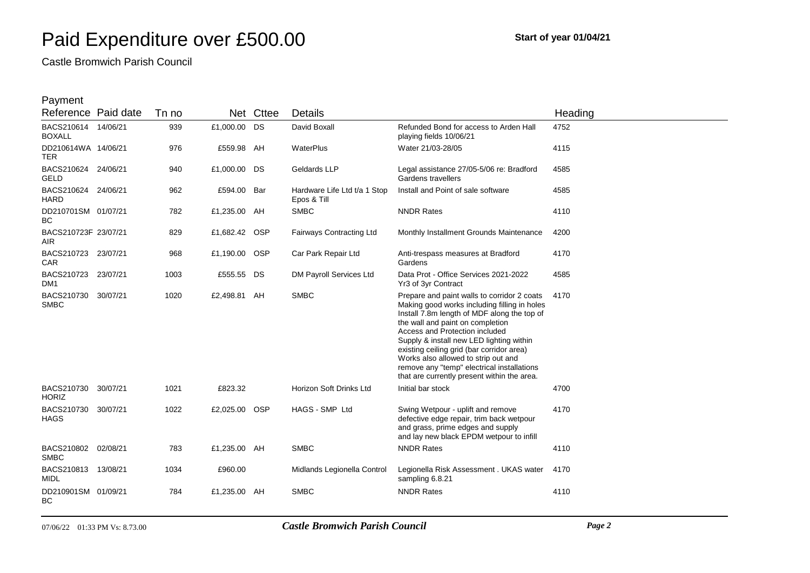Castle Bromwich Parish Council

| Reference Paid date                  | Tn no |               | Net Cttee | <b>Details</b>                              |                                                                                                                                                                                                                                                                                                                                                                                                                                               | Heading |
|--------------------------------------|-------|---------------|-----------|---------------------------------------------|-----------------------------------------------------------------------------------------------------------------------------------------------------------------------------------------------------------------------------------------------------------------------------------------------------------------------------------------------------------------------------------------------------------------------------------------------|---------|
| BACS210614 14/06/21<br><b>BOXALL</b> | 939   | £1,000.00 DS  |           | David Boxall                                | Refunded Bond for access to Arden Hall<br>playing fields 10/06/21                                                                                                                                                                                                                                                                                                                                                                             | 4752    |
| DD210614WA 14/06/21<br><b>TER</b>    | 976   | £559.98 AH    |           | WaterPlus                                   | Water 21/03-28/05                                                                                                                                                                                                                                                                                                                                                                                                                             | 4115    |
| BACS210624 24/06/21<br>GELD          | 940   | £1,000.00 DS  |           | Geldards LLP                                | Legal assistance 27/05-5/06 re: Bradford<br>Gardens travellers                                                                                                                                                                                                                                                                                                                                                                                | 4585    |
| BACS210624 24/06/21<br><b>HARD</b>   | 962   | £594.00 Bar   |           | Hardware Life Ltd t/a 1 Stop<br>Epos & Till | Install and Point of sale software                                                                                                                                                                                                                                                                                                                                                                                                            | 4585    |
| DD210701SM 01/07/21<br><b>BC</b>     | 782   | £1,235.00 AH  |           | <b>SMBC</b>                                 | <b>NNDR Rates</b>                                                                                                                                                                                                                                                                                                                                                                                                                             | 4110    |
| BACS210723F 23/07/21<br>AIR.         | 829   | £1,682.42 OSP |           | <b>Fairways Contracting Ltd</b>             | Monthly Installment Grounds Maintenance                                                                                                                                                                                                                                                                                                                                                                                                       | 4200    |
| BACS210723 23/07/21<br><b>CAR</b>    | 968   | £1,190.00 OSP |           | Car Park Repair Ltd                         | Anti-trespass measures at Bradford<br>Gardens                                                                                                                                                                                                                                                                                                                                                                                                 | 4170    |
| BACS210723 23/07/21<br>DM1           | 1003  | £555.55 DS    |           | DM Payroll Services Ltd                     | Data Prot - Office Services 2021-2022<br>Yr3 of 3yr Contract                                                                                                                                                                                                                                                                                                                                                                                  | 4585    |
| BACS210730 30/07/21<br><b>SMBC</b>   | 1020  | £2,498.81 AH  |           | <b>SMBC</b>                                 | Prepare and paint walls to corridor 2 coats<br>Making good works including filling in holes<br>Install 7.8m length of MDF along the top of<br>the wall and paint on completion<br>Access and Protection included<br>Supply & install new LED lighting within<br>existing ceiling grid (bar corridor area)<br>Works also allowed to strip out and<br>remove any "temp" electrical installations<br>that are currently present within the area. | 4170    |
| BACS210730 30/07/21<br><b>HORIZ</b>  | 1021  | £823.32       |           | Horizon Soft Drinks Ltd                     | Initial bar stock                                                                                                                                                                                                                                                                                                                                                                                                                             | 4700    |
| BACS210730 30/07/21<br><b>HAGS</b>   | 1022  | £2,025.00     | OSP       | HAGS - SMP Ltd                              | Swing Wetpour - uplift and remove<br>defective edge repair, trim back wetpour<br>and grass, prime edges and supply<br>and lay new black EPDM wetpour to infill                                                                                                                                                                                                                                                                                | 4170    |
| BACS210802 02/08/21<br><b>SMBC</b>   | 783   | £1,235.00 AH  |           | <b>SMBC</b>                                 | <b>NNDR Rates</b>                                                                                                                                                                                                                                                                                                                                                                                                                             | 4110    |
| BACS210813 13/08/21<br>MIDL          | 1034  | £960.00       |           | Midlands Legionella Control                 | Legionella Risk Assessment . UKAS water<br>sampling 6.8.21                                                                                                                                                                                                                                                                                                                                                                                    | 4170    |
| DD210901SM 01/09/21<br><b>BC</b>     | 784   | £1,235.00 AH  |           | <b>SMBC</b>                                 | <b>NNDR Rates</b>                                                                                                                                                                                                                                                                                                                                                                                                                             | 4110    |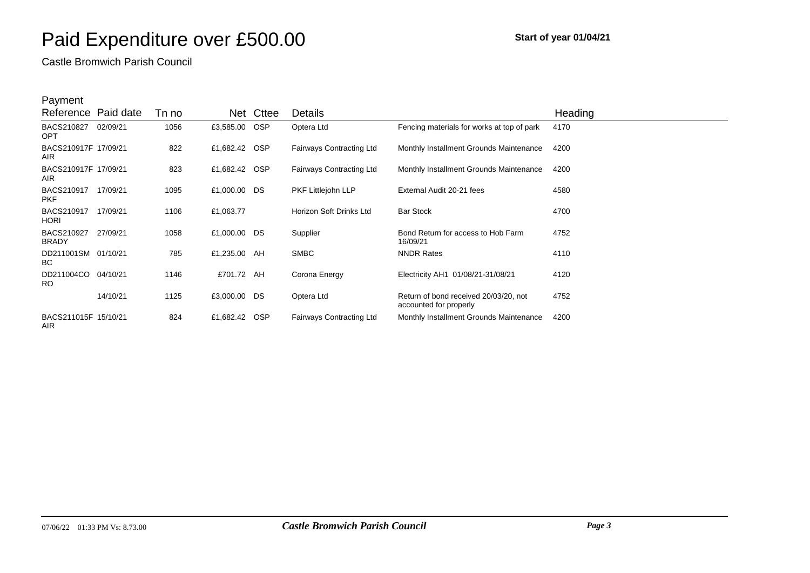Castle Bromwich Parish Council

| Reference Paid date                |          | Tn no |               | Net Cttee | <b>Details</b>                  |                                                                 | Heading |
|------------------------------------|----------|-------|---------------|-----------|---------------------------------|-----------------------------------------------------------------|---------|
| BACS210827<br><b>OPT</b>           | 02/09/21 | 1056  | £3,585.00 OSP |           | Optera Ltd                      | Fencing materials for works at top of park                      | 4170    |
| BACS210917F 17/09/21<br>AIR.       |          | 822   | £1,682.42 OSP |           | <b>Fairways Contracting Ltd</b> | Monthly Installment Grounds Maintenance                         | 4200    |
| BACS210917F 17/09/21<br><b>AIR</b> |          | 823   | £1,682.42 OSP |           | <b>Fairways Contracting Ltd</b> | Monthly Installment Grounds Maintenance                         | 4200    |
| BACS210917<br><b>PKF</b>           | 17/09/21 | 1095  | £1,000.00 DS  |           | PKF Littlejohn LLP              | External Audit 20-21 fees                                       | 4580    |
| BACS210917<br><b>HORI</b>          | 17/09/21 | 1106  | £1,063.77     |           | Horizon Soft Drinks Ltd         | <b>Bar Stock</b>                                                | 4700    |
| BACS210927<br><b>BRADY</b>         | 27/09/21 | 1058  | £1,000.00 DS  |           | Supplier                        | Bond Return for access to Hob Farm<br>16/09/21                  | 4752    |
| DD211001SM 01/10/21<br>BC.         |          | 785   | £1,235.00 AH  |           | <b>SMBC</b>                     | <b>NNDR Rates</b>                                               | 4110    |
| DD211004CO 04/10/21<br><b>RO</b>   |          | 1146  | £701.72 AH    |           | Corona Energy                   | Electricity AH1 01/08/21-31/08/21                               | 4120    |
|                                    | 14/10/21 | 1125  | £3,000.00 DS  |           | Optera Ltd                      | Return of bond received 20/03/20, not<br>accounted for properly | 4752    |
| BACS211015F 15/10/21<br>AIR.       |          | 824   | £1,682.42 OSP |           | <b>Fairways Contracting Ltd</b> | Monthly Installment Grounds Maintenance                         | 4200    |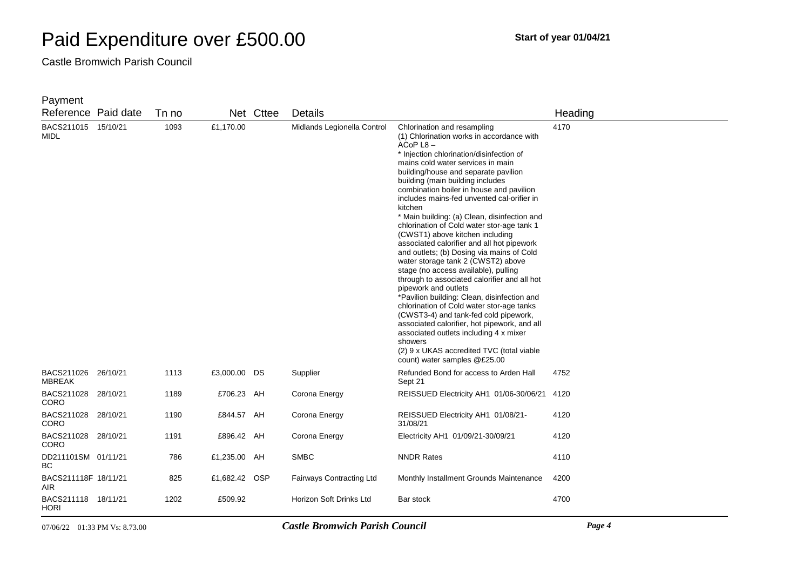Castle Bromwich Parish Council

| Reference Paid date                  |                               | Tn no |               | Net Cttee | Details                               |                                                                                                                                                                                                                                                                                                                                                                                                                                                                                                                                                                                                                                                                                                                                                                                                                                                                                                                                                                                                                                                                 | Heading |
|--------------------------------------|-------------------------------|-------|---------------|-----------|---------------------------------------|-----------------------------------------------------------------------------------------------------------------------------------------------------------------------------------------------------------------------------------------------------------------------------------------------------------------------------------------------------------------------------------------------------------------------------------------------------------------------------------------------------------------------------------------------------------------------------------------------------------------------------------------------------------------------------------------------------------------------------------------------------------------------------------------------------------------------------------------------------------------------------------------------------------------------------------------------------------------------------------------------------------------------------------------------------------------|---------|
| BACS211015<br>MIDL                   | 15/10/21                      | 1093  | £1,170.00     |           | Midlands Legionella Control           | Chlorination and resampling<br>(1) Chlorination works in accordance with<br>ACoP L8-<br>* Injection chlorination/disinfection of<br>mains cold water services in main<br>building/house and separate pavilion<br>building (main building includes<br>combination boiler in house and pavilion<br>includes mains-fed unvented cal-orifier in<br>kitchen<br>* Main building: (a) Clean, disinfection and<br>chlorination of Cold water stor-age tank 1<br>(CWST1) above kitchen including<br>associated calorifier and all hot pipework<br>and outlets; (b) Dosing via mains of Cold<br>water storage tank 2 (CWST2) above<br>stage (no access available), pulling<br>through to associated calorifier and all hot<br>pipework and outlets<br>*Pavilion building: Clean, disinfection and<br>chlorination of Cold water stor-age tanks<br>(CWST3-4) and tank-fed cold pipework,<br>associated calorifier, hot pipework, and all<br>associated outlets including 4 x mixer<br>showers<br>(2) 9 x UKAS accredited TVC (total viable<br>count) water samples @£25.00 | 4170    |
| BACS211026 26/10/21<br><b>MBREAK</b> |                               | 1113  | £3,000.00 DS  |           | Supplier                              | Refunded Bond for access to Arden Hall<br>Sept 21                                                                                                                                                                                                                                                                                                                                                                                                                                                                                                                                                                                                                                                                                                                                                                                                                                                                                                                                                                                                               | 4752    |
| BACS211028 28/10/21<br><b>CORO</b>   |                               | 1189  | £706.23 AH    |           | Corona Energy                         | REISSUED Electricity AH1 01/06-30/06/21                                                                                                                                                                                                                                                                                                                                                                                                                                                                                                                                                                                                                                                                                                                                                                                                                                                                                                                                                                                                                         | 4120    |
| BACS211028 28/10/21<br>CORO          |                               | 1190  | £844.57 AH    |           | Corona Energy                         | REISSUED Electricity AH1 01/08/21-<br>31/08/21                                                                                                                                                                                                                                                                                                                                                                                                                                                                                                                                                                                                                                                                                                                                                                                                                                                                                                                                                                                                                  | 4120    |
| BACS211028 28/10/21<br><b>CORO</b>   |                               | 1191  | £896.42 AH    |           | Corona Energy                         | Electricity AH1 01/09/21-30/09/21                                                                                                                                                                                                                                                                                                                                                                                                                                                                                                                                                                                                                                                                                                                                                                                                                                                                                                                                                                                                                               | 4120    |
| DD211101SM 01/11/21<br>ВC            |                               | 786   | £1,235.00 AH  |           | <b>SMBC</b>                           | <b>NNDR Rates</b>                                                                                                                                                                                                                                                                                                                                                                                                                                                                                                                                                                                                                                                                                                                                                                                                                                                                                                                                                                                                                                               | 4110    |
| BACS211118F 18/11/21<br>AIR          |                               | 825   | £1,682.42 OSP |           | <b>Fairways Contracting Ltd</b>       | Monthly Installment Grounds Maintenance                                                                                                                                                                                                                                                                                                                                                                                                                                                                                                                                                                                                                                                                                                                                                                                                                                                                                                                                                                                                                         | 4200    |
| BACS211118 18/11/21<br>HORI          |                               | 1202  | £509.92       |           | Horizon Soft Drinks Ltd               | Bar stock                                                                                                                                                                                                                                                                                                                                                                                                                                                                                                                                                                                                                                                                                                                                                                                                                                                                                                                                                                                                                                                       | 4700    |
|                                      | 07/06/22 01:33 PM Vs: 8.73.00 |       |               |           | <b>Castle Bromwich Parish Council</b> |                                                                                                                                                                                                                                                                                                                                                                                                                                                                                                                                                                                                                                                                                                                                                                                                                                                                                                                                                                                                                                                                 | Page 4  |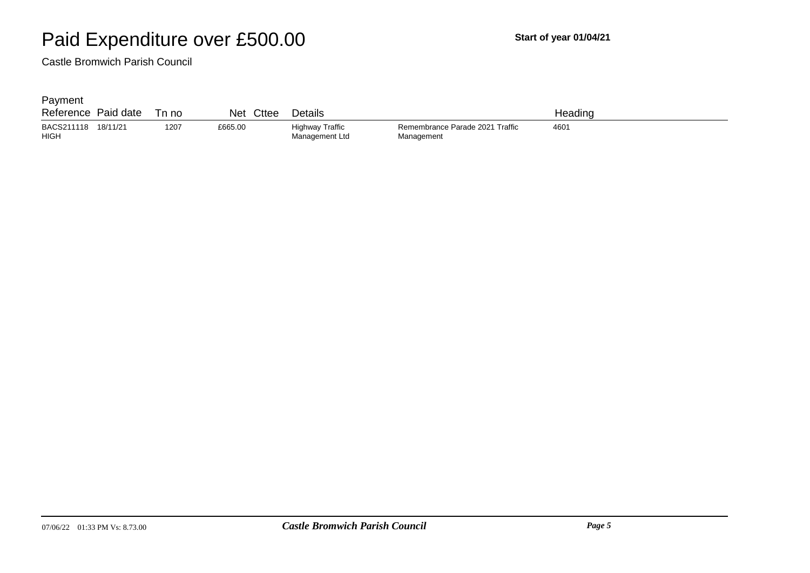Castle Bromwich Parish Council

| Reference                 | Paid date | Tn no | Net     | Cttee<br>Details                  |                                               | Headınq |  |
|---------------------------|-----------|-------|---------|-----------------------------------|-----------------------------------------------|---------|--|
| BACS211118<br><b>HIGH</b> | 18/11/21  | 1207  | £665.00 | Highway Traffic<br>Management Ltd | Remembrance Parade 2021 Traffic<br>Management | 460'    |  |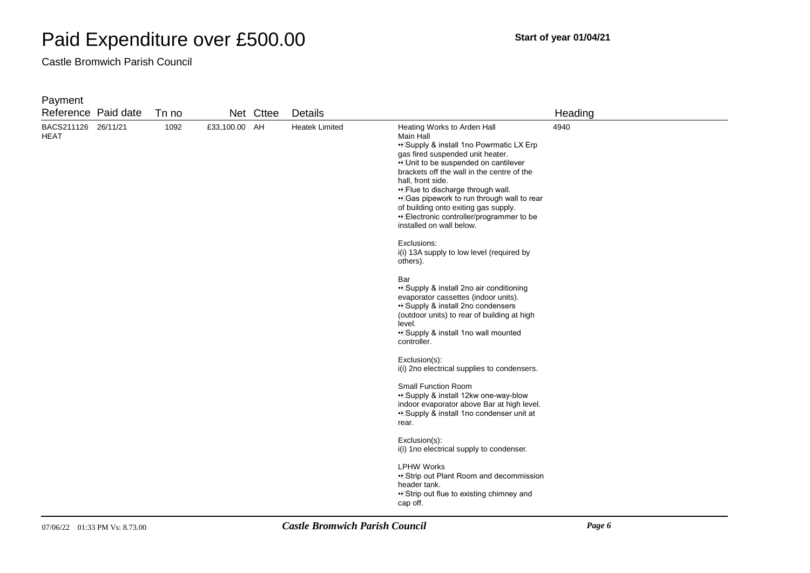Castle Bromwich Parish Council

| Reference Paid date                |  | Tn no |               | Net Cttee | Details                                                                                                                                                               |                                                                                                                                                                                                                                                                                                                                                                                                                                        | Heading |
|------------------------------------|--|-------|---------------|-----------|-----------------------------------------------------------------------------------------------------------------------------------------------------------------------|----------------------------------------------------------------------------------------------------------------------------------------------------------------------------------------------------------------------------------------------------------------------------------------------------------------------------------------------------------------------------------------------------------------------------------------|---------|
| BACS211126 26/11/21<br><b>HEAT</b> |  | 1092  | £33,100.00 AH |           | <b>Heatek Limited</b>                                                                                                                                                 | Heating Works to Arden Hall<br>Main Hall<br>• Supply & install 1no Powrmatic LX Erp<br>gas fired suspended unit heater.<br>. Unit to be suspended on cantilever<br>brackets off the wall in the centre of the<br>hall, front side.<br>• Flue to discharge through wall.<br>• Gas pipework to run through wall to rear<br>of building onto exiting gas supply.<br>•• Electronic controller/programmer to be<br>installed on wall below. | 4940    |
|                                    |  |       |               |           |                                                                                                                                                                       | Exclusions:<br>i(i) 13A supply to low level (required by<br>others).                                                                                                                                                                                                                                                                                                                                                                   |         |
|                                    |  |       |               |           |                                                                                                                                                                       | Bar<br>• Supply & install 2no air conditioning<br>evaporator cassettes (indoor units).<br>• Supply & install 2no condensers<br>(outdoor units) to rear of building at high<br>level.<br>• Supply & install 1no wall mounted<br>controller.                                                                                                                                                                                             |         |
|                                    |  |       |               |           |                                                                                                                                                                       | Exclusion(s):<br>i(i) 2no electrical supplies to condensers.                                                                                                                                                                                                                                                                                                                                                                           |         |
|                                    |  |       |               |           | <b>Small Function Room</b><br>• Supply & install 12kw one-way-blow<br>indoor evaporator above Bar at high level.<br>• Supply & install 1no condenser unit at<br>rear. |                                                                                                                                                                                                                                                                                                                                                                                                                                        |         |
|                                    |  |       |               |           |                                                                                                                                                                       | Exclusion(s):<br>i(i) 1no electrical supply to condenser.                                                                                                                                                                                                                                                                                                                                                                              |         |
|                                    |  |       |               |           |                                                                                                                                                                       | <b>LPHW Works</b><br>• Strip out Plant Room and decommission<br>header tank.<br>• Strip out flue to existing chimney and<br>cap off.                                                                                                                                                                                                                                                                                                   |         |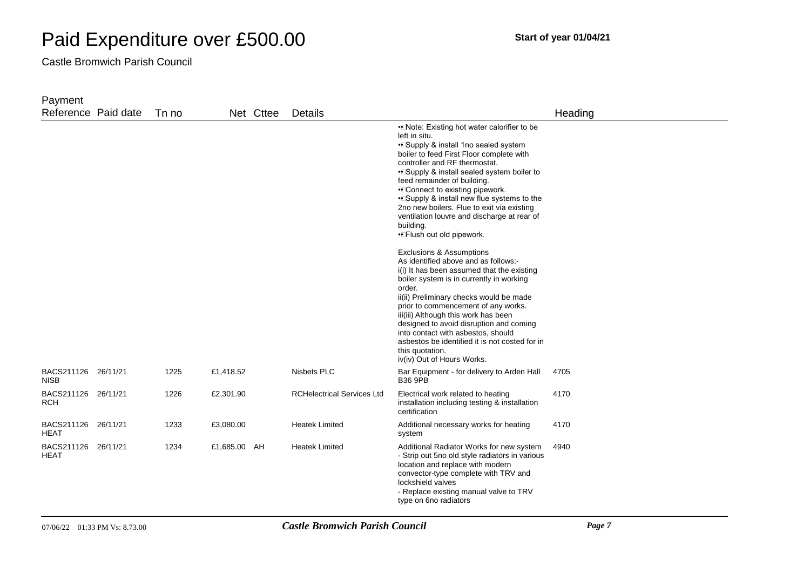Castle Bromwich Parish Council

| Payment                            |       |              |           |                                   |                                                                                                                                                                                                                                                                                                                                                                                                                                                                                         |         |
|------------------------------------|-------|--------------|-----------|-----------------------------------|-----------------------------------------------------------------------------------------------------------------------------------------------------------------------------------------------------------------------------------------------------------------------------------------------------------------------------------------------------------------------------------------------------------------------------------------------------------------------------------------|---------|
| Reference Paid date                | Tn no |              | Net Cttee | <b>Details</b>                    |                                                                                                                                                                                                                                                                                                                                                                                                                                                                                         | Heading |
|                                    |       |              |           |                                   | • Note: Existing hot water calorifier to be<br>left in situ.<br>• Supply & install 1no sealed system<br>boiler to feed First Floor complete with<br>controller and RF thermostat.<br>. Supply & install sealed system boiler to<br>feed remainder of building.<br>•DConnect to existing pipework.<br>• Supply & install new flue systems to the<br>2no new boilers. Flue to exit via existing<br>ventilation louvre and discharge at rear of<br>building.<br>•• Flush out old pipework. |         |
|                                    |       |              |           |                                   | Exclusions & Assumptions<br>As identified above and as follows:-<br>i(i) It has been assumed that the existing<br>boiler system is in currently in working<br>order.<br>ii(ii) Preliminary checks would be made<br>prior to commencement of any works.<br>iii(iii) Although this work has been<br>designed to avoid disruption and coming<br>into contact with asbestos, should<br>asbestos be identified it is not costed for in<br>this quotation.<br>iv(iv) Out of Hours Works.      |         |
| BACS211126 26/11/21<br><b>NISB</b> | 1225  | £1,418.52    |           | Nisbets PLC                       | Bar Equipment - for delivery to Arden Hall<br><b>B36 9PB</b>                                                                                                                                                                                                                                                                                                                                                                                                                            | 4705    |
| BACS211126 26/11/21<br><b>RCH</b>  | 1226  | £2,301.90    |           | <b>RCHelectrical Services Ltd</b> | Electrical work related to heating<br>installation including testing & installation<br>certification                                                                                                                                                                                                                                                                                                                                                                                    | 4170    |
| BACS211126 26/11/21<br>HEAT        | 1233  | £3,080.00    |           | <b>Heatek Limited</b>             | Additional necessary works for heating<br>system                                                                                                                                                                                                                                                                                                                                                                                                                                        | 4170    |
| BACS211126 26/11/21<br>HEAT        | 1234  | £1,685.00 AH |           | <b>Heatek Limited</b>             | Additional Radiator Works for new system<br>- Strip out 5no old style radiators in various<br>location and replace with modern<br>convector-type complete with TRV and<br>lockshield valves<br>- Replace existing manual valve to TRV<br>type on 6no radiators                                                                                                                                                                                                                          | 4940    |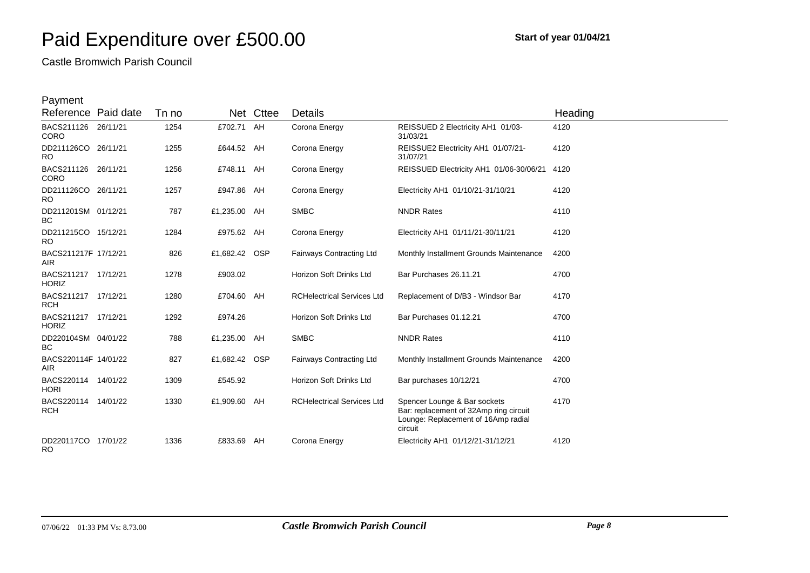Castle Bromwich Parish Council

| Reference Paid date                 | Tn no |               | Net Cttee | Details                           |                                                                                                                          | Heading |
|-------------------------------------|-------|---------------|-----------|-----------------------------------|--------------------------------------------------------------------------------------------------------------------------|---------|
| BACS211126 26/11/21<br><b>CORO</b>  | 1254  | £702.71 AH    |           | Corona Energy                     | REISSUED 2 Electricity AH1 01/03-<br>31/03/21                                                                            | 4120    |
| DD211126CO 26/11/21<br><b>RO</b>    | 1255  | £644.52 AH    |           | Corona Energy                     | REISSUE2 Electricity AH1 01/07/21-<br>31/07/21                                                                           | 4120    |
| BACS211126 26/11/21<br><b>CORO</b>  | 1256  | £748.11 AH    |           | Corona Energy                     | REISSUED Electricity AH1 01/06-30/06/21                                                                                  | 4120    |
| DD211126CO 26/11/21<br><b>RO</b>    | 1257  | £947.86 AH    |           | Corona Energy                     | Electricity AH1 01/10/21-31/10/21                                                                                        | 4120    |
| DD211201SM 01/12/21<br><b>BC</b>    | 787   | £1,235.00 AH  |           | <b>SMBC</b>                       | <b>NNDR Rates</b>                                                                                                        | 4110    |
| DD211215CO 15/12/21<br><b>RO</b>    | 1284  | £975.62 AH    |           | Corona Energy                     | Electricity AH1 01/11/21-30/11/21                                                                                        | 4120    |
| BACS211217F 17/12/21<br><b>AIR</b>  | 826   | £1,682.42 OSP |           | <b>Fairways Contracting Ltd</b>   | Monthly Installment Grounds Maintenance                                                                                  | 4200    |
| BACS211217 17/12/21<br><b>HORIZ</b> | 1278  | £903.02       |           | Horizon Soft Drinks Ltd           | Bar Purchases 26.11.21                                                                                                   | 4700    |
| BACS211217 17/12/21<br><b>RCH</b>   | 1280  | £704.60 AH    |           | <b>RCHelectrical Services Ltd</b> | Replacement of D/B3 - Windsor Bar                                                                                        | 4170    |
| BACS211217 17/12/21<br><b>HORIZ</b> | 1292  | £974.26       |           | Horizon Soft Drinks Ltd           | Bar Purchases 01.12.21                                                                                                   | 4700    |
| DD220104SM 04/01/22<br>ВC           | 788   | £1,235.00 AH  |           | <b>SMBC</b>                       | <b>NNDR Rates</b>                                                                                                        | 4110    |
| BACS220114F 14/01/22<br><b>AIR</b>  | 827   | £1,682.42 OSP |           | Fairways Contracting Ltd          | Monthly Installment Grounds Maintenance                                                                                  | 4200    |
| BACS220114 14/01/22<br><b>HORI</b>  | 1309  | £545.92       |           | Horizon Soft Drinks Ltd           | Bar purchases 10/12/21                                                                                                   | 4700    |
| BACS220114 14/01/22<br><b>RCH</b>   | 1330  | £1,909.60 AH  |           | <b>RCHelectrical Services Ltd</b> | Spencer Lounge & Bar sockets<br>Bar: replacement of 32Amp ring circuit<br>Lounge: Replacement of 16Amp radial<br>circuit | 4170    |
| DD220117CO 17/01/22<br><b>RO</b>    | 1336  | £833.69 AH    |           | Corona Energy                     | Electricity AH1 01/12/21-31/12/21                                                                                        | 4120    |